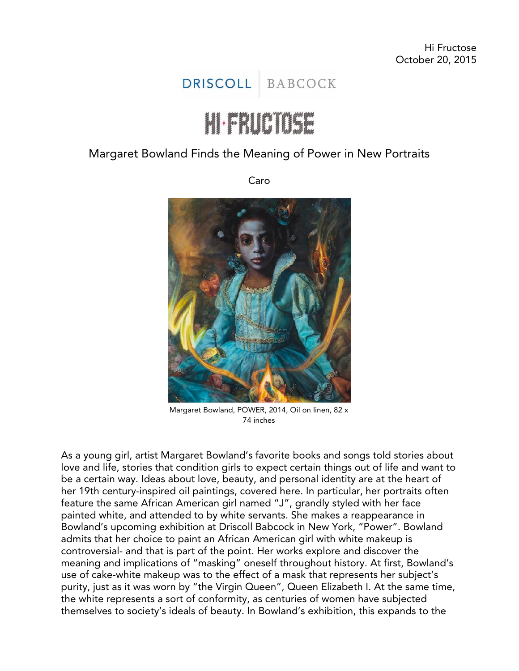## DRISCOLL BABCOCK

## Hailelle

## Margaret Bowland Finds the Meaning of Power in New Portraits

Caro



Margaret Bowland, POWER, 2014, Oil on linen, 82 x 74 inches

As a young girl, artist [Margaret Bowland'](http://www.margaretbowland.com/)s favorite books and songs told stories about love and life, stories that condition girls to expect certain things out of life and want to be a certain way. Ideas about love, beauty, and personal identity are at the heart of her 19th century-inspired oil paintings, [covered here.](http://hifructose.com/2012/09/05/margaret-bowlands-paintings-of-little-people-and-little-girls/) In particular, her portraits often feature the same African American girl named "J", grandly styled with her face painted white, and attended to by white servants. She makes a reappearance in Bowland's upcoming exhibition at Driscoll Babcock in New York, "Power". Bowland admits that her choice to paint an African American girl with white makeup is controversial- and that is part of the point. Her works explore and discover the meaning and implications of "masking" oneself throughout history. At first, Bowland's use of cake-white makeup was to the effect of a mask that represents her subject's purity, just as it was worn by "the Virgin Queen", Queen Elizabeth I. At the same time, the white represents a sort of conformity, as centuries of women have subjected themselves to society's ideals of beauty. In Bowland's exhibition, this expands to the